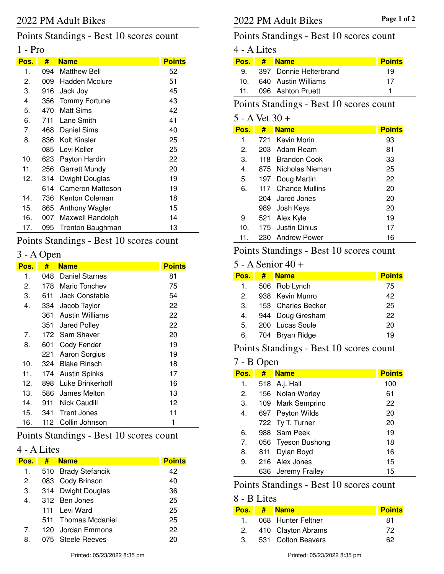# Points Standings - Best 10 scores count

### 1 - Pro

| Pos. | #   | <b>Name</b>           | <b>Points</b> |
|------|-----|-----------------------|---------------|
| 1.   | 094 | <b>Matthew Bell</b>   | 52            |
| 2.   | 009 | <b>Hadden Mcclure</b> | 51            |
| З.   | 916 | Jack Joy              | 45            |
| 4.   | 356 | <b>Tommy Fortune</b>  | 43            |
| 5.   | 470 | Matt Sims             | 42            |
| 6.   | 711 | Lane Smith            | 41            |
| 7.   |     | 468 Daniel Sims       | 40            |
| 8.   |     | 836 Kolt Kinsler      | 25            |
|      | 085 | Levi Keller           | 25            |
| 10.  | 623 | Payton Hardin         | 22            |
| 11.  | 256 | <b>Garrett Mundy</b>  | 20            |
| 12.  | 314 | Dwight Douglas        | 19            |
|      | 614 | Cameron Matteson      | 19            |
| 14.  | 736 | Kenton Coleman        | 18            |
| 15.  | 865 | <b>Anthony Wagler</b> | 15            |
| 16.  | 007 | Maxwell Randolph      | 14            |
| 17.  | 095 | Trenton Baughman      | 13            |

# Points Standings - Best 10 scores count

# 3 - A Open

| Pos. | #    | <b>Name</b>            | <b>Points</b> |
|------|------|------------------------|---------------|
| 1.   | 048  | Daniel Starnes         | 81            |
| 2.   | 178  | Mario Tonchev          | 75            |
| 3.   | 611  | <b>Jack Constable</b>  | 54            |
| 4.   | 334  | Jacob Taylor           | 22            |
|      | 361  | <b>Austin Williams</b> | 22            |
|      | 351  | <b>Jared Polley</b>    | 22            |
| 7.   | 172  | Sam Shaver             | 20            |
| 8.   | 601  | Cody Fender            | 19            |
|      | 221  | Aaron Sorgius          | 19            |
| 10.  | 324  | <b>Blake Rinsch</b>    | 18            |
| 11.  | 174. | <b>Austin Spinks</b>   | 17            |
| 12.  | 898  | Luke Brinkerhoff       | 16            |
| 13.  | 586  | James Melton           | 13            |
| 14.  | 911  | Nick Caudill           | 12            |
| 15.  | 341  | <b>Trent Jones</b>     | 11            |
| 16.  | 112  | Collin Johnson         | 1             |

## Points Standings - Best 10 scores count

## 4 - A Lites

| Pos. | # | <b>Name</b>         | <b>Points</b> |
|------|---|---------------------|---------------|
| 1.   |   | 510 Brady Stefancik | 42            |
| 2.   |   | 083 Cody Brinson    | 40            |
| 3.   |   | 314 Dwight Douglas  | 36            |
| 4.   |   | 312 Ben Jones       | 25            |
|      |   | 111 Levi Ward       | 25            |
|      |   | 511 Thomas Mcdaniel | 25            |
| 7.   |   | 120 Jordan Emmons   | 22            |
| 8.   |   | 075 Steele Reeves   |               |

### Points Standings - Best 10 scores count

## 4 - A Lites

| Pos.            | # | <b>Name</b>            | <b>Points</b> |
|-----------------|---|------------------------|---------------|
| 9.              |   | 397 Donnie Helterbrand | 19            |
| 10.             |   | 640 Austin Williams    | 17            |
| 11 <sub>1</sub> |   | 096 Ashton Pruett      |               |

#### Points Standings - Best 10 scores count

# 5 - A Vet 30 +

| Pos. | #   | <b>Name</b>         | <b>Points</b> |
|------|-----|---------------------|---------------|
| 1.   | 721 | Kevin Morin         | 93            |
| 2.   |     | 203 Adam Ream       | 81            |
| З.   |     | 118 Brandon Cook    | 33            |
| 4.   |     | 875 Nicholas Nieman | 25            |
| 5.   |     | 197 Doug Martin     | 22            |
| 6.   |     | 117 Chance Mullins  | 20            |
|      |     | 204 Jared Jones     | 20            |
|      |     | 989 Josh Keys       | 20            |
| 9.   | 521 | Alex Kyle           | 19            |
| 10.  |     | 175 Justin Dinius   | 17            |
| 11.  |     | 230 Andrew Power    | 16            |

## Points Standings - Best 10 scores count

#### 5 - A Senior 40 +

| Pos. | # | <b>Name</b>        | <b>Points</b> |
|------|---|--------------------|---------------|
| 1.   |   | 506 Rob Lynch      | 75            |
| 2.   |   | 938 Kevin Munro    | 42            |
| 3.   |   | 153 Charles Becker | 25            |
| 4.   |   | 944 Doug Gresham   | 22            |
| 5.   |   | 200 Lucas Soule    | 20            |
| 6.   |   | 704 Bryan Ridge    | 19            |

## Points Standings - Best 10 scores count

#### 7 - B Open

| <u>Pos.</u> | #   | <b>Name</b>        | <b>Points</b> |
|-------------|-----|--------------------|---------------|
| 1.          |     | 518 A.j. Hall      | 100           |
| 2.          |     | 156 Nolan Worley   | 61            |
| 3.          |     | 109 Mark Semprino  | 22            |
| 4.          |     | 697 Peyton Wilds   | 20            |
|             |     | 722 Ty T. Turner   | 20            |
| 6.          |     | 988 Sam Peek       | 19            |
| 7.          |     | 056 Tyeson Bushong | 18            |
| 8.          | 811 | Dylan Boyd         | 16            |
| 9.          |     | 216 Alex Jones     | 15            |
|             |     | 636 Jeremy Frailey | 15            |

## Points Standings - Best 10 scores count

#### 8 - B Lites

| Pos. I | # Name                | <b>Points</b> |
|--------|-----------------------|---------------|
| 1.     | 068 Hunter Feltner    | 81            |
|        | 2. 410 Clayton Abrams | 72            |
| 3.     | 531 Colton Beavers    | 62            |